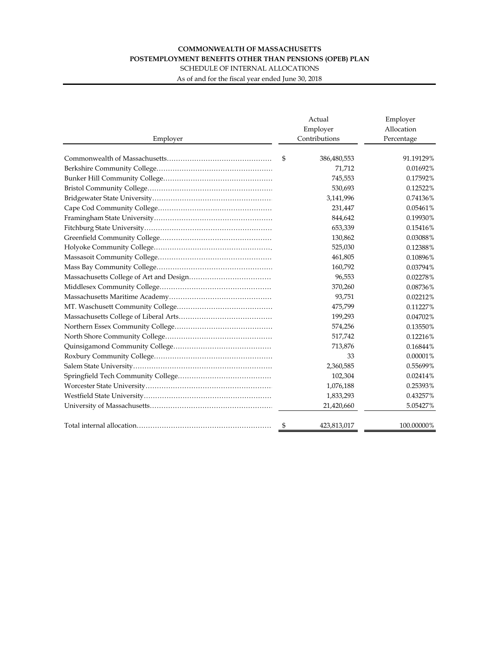## **COMMONWEALTH OF MASSACHUSETTS POSTEMPLOYMENT BENEFITS OTHER THAN PENSIONS (OPEB) PLAN**

SCHEDULE OF INTERNAL ALLOCATIONS

As of and for the fiscal year ended June 30, 2018

|          | Actual<br>Employer | Employer<br>Allocation |  |
|----------|--------------------|------------------------|--|
| Employer | Contributions      | Percentage             |  |
|          |                    |                        |  |
|          | 386,480,553<br>\$  | 91.19129%              |  |
|          | 71,712             | 0.01692%               |  |
|          | 745,553            | 0.17592%               |  |
|          | 530,693            | 0.12522%               |  |
|          | 3,141,996          | 0.74136%               |  |
|          | 231,447            | 0.05461%               |  |
|          | 844,642            | 0.19930%               |  |
|          | 653,339            | 0.15416%               |  |
|          | 130,862            | 0.03088%               |  |
|          | 525,030            | 0.12388%               |  |
|          | 461,805            | 0.10896%               |  |
|          | 160,792            | 0.03794%               |  |
|          | 96,553             | 0.02278%               |  |
|          | 370,260            | 0.08736%               |  |
|          | 93,751             | 0.02212%               |  |
|          | 475,799            | 0.11227%               |  |
|          | 199,293            | 0.04702%               |  |
|          | 574,256            | 0.13550%               |  |
|          | 517,742            | 0.12216%               |  |
|          | 713,876            | 0.16844%               |  |
|          | 33                 | 0.00001%               |  |
|          | 2,360,585          | 0.55699%               |  |
|          | 102,304            | 0.02414%               |  |
|          | 1,076,188          | 0.25393%               |  |
|          | 1,833,293          | 0.43257%               |  |
|          | 21,420,660         | 5.05427%               |  |
|          | \$<br>423,813,017  | 100.00000%             |  |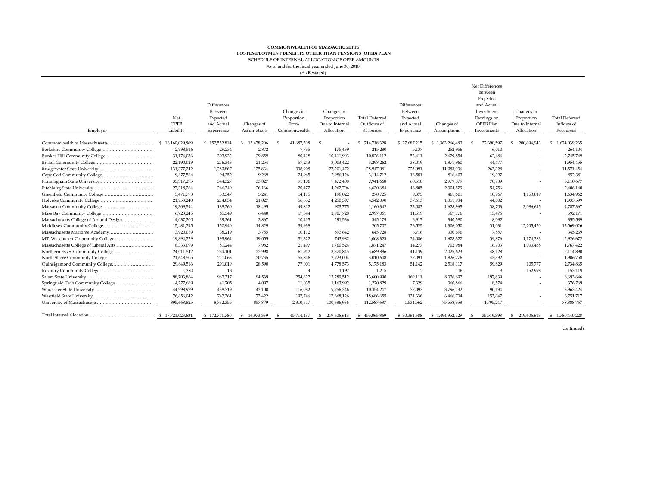## **COMMONWEALTH OF MASSACHUSETTS** SCHEDULE OF INTERNAL ALLOCATION OF OPEB AMOUNTS**POSTEMPLOYMENT BENEFITS OTHER THAN PENSIONS (OPEB) PLAN**

As of and for the fiscal year ended June 30, 2018

(As Restated)

| Employer                                | Net<br>OPEB<br>Liability | Differences<br>Between<br>Expected<br>and Actual<br>Experience | Changes of<br>Assumptions | Changes in<br>Proportion<br>From<br>Commonwealth | Changes in<br>Proportion<br>Due to Internal<br>Allocation | <b>Total Deferred</b><br>Outflows of<br>Resources | <b>Differences</b><br>Between<br>Expected<br>and Actual<br>Experience | Changes of<br>Assumptions | Net Differences<br>Between<br>Projected<br>and Actual<br>Investment<br>Earnings on<br>OPEB Plan<br>Investments | Changes in<br>Proportion<br>Due to Internal<br>Allocation | <b>Total Deferred</b><br>Inflows of<br>Resources |
|-----------------------------------------|--------------------------|----------------------------------------------------------------|---------------------------|--------------------------------------------------|-----------------------------------------------------------|---------------------------------------------------|-----------------------------------------------------------------------|---------------------------|----------------------------------------------------------------------------------------------------------------|-----------------------------------------------------------|--------------------------------------------------|
|                                         | \$16.160.029.869         | \$157,552,814                                                  | S.<br>15,478,206          | 41,687,308<br>- 95                               | - \$                                                      | \$214,718,328                                     | \$27,687,215                                                          | \$1,363,266,480           | 32,390,597<br>S                                                                                                | 200,694,943<br>\$                                         | 1,624,039,235<br>S.                              |
|                                         | 2,998,516                | 29,234                                                         | 2,872                     | 7,735                                            | 175,439                                                   | 215,280                                           | 5,137                                                                 | 252,956                   | 6,010                                                                                                          |                                                           | 264,104                                          |
|                                         | 31,174,036               | 303,932                                                        | 29,859                    | 80,418                                           | 10,411,903                                                | 10,826,112                                        | 53,411                                                                | 2,629,854                 | 62,484                                                                                                         |                                                           | 2,745,749                                        |
|                                         | 22,190,029               | 216,343                                                        | 21,254                    | 57,243                                           | 3,003,422                                                 | 3,298,262                                         | 38,019                                                                | 1,871,960                 | 44,477                                                                                                         |                                                           | 1,954,455                                        |
|                                         | 131,377,242              | 1,280,867                                                      | 125,834                   | 338,908                                          | 27,201,472                                                | 28,947,081                                        | 225,091                                                               | 11,083,036                | 263,328                                                                                                        |                                                           | 11,571,454                                       |
|                                         | 9,677,564                | 94,352                                                         | 9,269                     | 24,965                                           | 2,986,126                                                 | 3,114,712                                         | 16,581                                                                | 816,403                   | 19,397                                                                                                         |                                                           | 852,381                                          |
|                                         | 35, 317, 275             | 344,327                                                        | 33,827                    | 91,106                                           | 7,472,408                                                 | 7,941,668                                         | 60,510                                                                | 2,979,379                 | 70,789                                                                                                         |                                                           | 3,110,677                                        |
|                                         | 27,318,264               | 266,340                                                        | 26,166                    | 70,472                                           | 4,267,706                                                 | 4,630,684                                         | 46,805                                                                | 2,304,579                 | 54,756                                                                                                         |                                                           | 2,406,140                                        |
|                                         | 5,471,773                | 53,347                                                         | 5,241                     | 14,115                                           | 198,022                                                   | 270,725                                           | 9,375                                                                 | 461,601                   | 10,967                                                                                                         | 1,153,019                                                 | 1,634,962                                        |
|                                         | 21,953,240               | 214,034                                                        | 21,027                    | 56,632                                           | 4,250,397                                                 | 4,542,090                                         | 37,613                                                                | 1,851,984                 | 44,002                                                                                                         | $\sim$                                                    | 1,933,599                                        |
|                                         | 19,309,594               | 188,260                                                        | 18,495                    | 49,812                                           | 903,775                                                   | 1,160,342                                         | 33,083                                                                | 1,628,965                 | 38,703                                                                                                         | 3,086,615                                                 | 4,787,367                                        |
|                                         | 6,723,245                | 65,549                                                         | 6,440                     | 17,344                                           | 2,907,728                                                 | 2,997,061                                         | 11,519                                                                | 567,176                   | 13,476                                                                                                         |                                                           | 592,171                                          |
| Massachusetts College of Art and Design | 4,037,200                | 39,361                                                         | 3,867                     | 10,415                                           | 291,536                                                   | 345,179                                           | 6,917                                                                 | 340,580                   | 8,092                                                                                                          |                                                           | 355,589                                          |
|                                         | 15,481,795               | 150,940                                                        | 14,829                    | 39,938                                           |                                                           | 205,707                                           | 26,525                                                                | 1,306,050                 | 31,031                                                                                                         | 12,205,420                                                | 13,569,026                                       |
|                                         | 3,920,039                | 38,219                                                         | 3,755                     | 10,112                                           | 593,642                                                   | 645,728                                           | 6,716                                                                 | 330,696                   | 7,857                                                                                                          |                                                           | 345,269                                          |
|                                         | 19,894,729               | 193,964                                                        | 19,055                    | 51,322                                           | 743,982                                                   | 1,008,323                                         | 34,086                                                                | 1,678,327                 | 39,876                                                                                                         | 1,174,383                                                 | 2,926,672                                        |
| Massachusetts College of Liberal Arts   | 8,333,099                | 81,244                                                         | 7,982                     | 21,497                                           | 1,760,524                                                 | 1,871,247                                         | 14,277                                                                | 702,984                   | 16,703                                                                                                         | 1,033,458                                                 | 1,767,422                                        |
| Northern Essex Community College        | 24,011,542               | 234,101                                                        | 22,998                    | 61,942                                           | 3,370,845                                                 | 3,689,886                                         | 41,139                                                                | 2,025,623                 | 48,128                                                                                                         |                                                           | 2,114,890                                        |
|                                         | 21,648,505               | 211,063                                                        | 20,735                    | 55,846                                           | 2,723,004                                                 | 3,010,648                                         | 37,091                                                                | 1,826,276                 | 43,392                                                                                                         | $\overline{a}$                                            | 1,906,758                                        |
| Quinsigamond Community College          | 29,849,516               | 291,019                                                        | 28,590                    | 77,001                                           | 4,778,573                                                 | 5,175,183                                         | 51,142                                                                | 2,518,117                 | 59,829                                                                                                         | 105,777                                                   | 2,734,865                                        |
|                                         | 1,380                    | 13                                                             | $\overline{1}$            | $\overline{4}$                                   | 1,197                                                     | 1,215                                             | 2                                                                     | 116                       | 3                                                                                                              | 152,998                                                   | 153,119                                          |
|                                         | 98,703,864               | 962,317                                                        | 94,539                    | 254,622                                          | 12,289,512                                                | 13,600,990                                        | 169,111                                                               | 8,326,697                 | 197,839                                                                                                        | $\overline{a}$                                            | 8,693,646                                        |
| Springfield Tech Community College      | 4,277,669                | 41,705                                                         | 4.097                     | 11,035                                           | 1,163,992                                                 | 1,220,829                                         | 7,329                                                                 | 360,866                   | 8,574                                                                                                          |                                                           | 376,769                                          |
|                                         | 44,998,979               | 438,719                                                        | 43,100                    | 116,082                                          | 9,756,346                                                 | 10,354,247                                        | 77,097                                                                | 3,796,132                 | 90,194                                                                                                         |                                                           | 3,963,424                                        |
|                                         | 76,656,042               | 747,361                                                        | 73,422                    | 197,746                                          | 17,668,126                                                | 18,686,655                                        | 131,336                                                               | 6,466,734                 | 153,647                                                                                                        |                                                           | 6,751,717                                        |
|                                         | 895,668,625              | 8,732,355                                                      | 857,879                   | 2,310,517                                        | 100,686,936                                               | 112,587,687                                       | 1,534,562                                                             | 75,558,958                | 1,795,247                                                                                                      |                                                           | 78,888,767                                       |
|                                         | \$17,721,023,631         | \$172,771,780                                                  | 16,973,339<br>-5          | 45,714,137                                       | 219.606.613                                               | 455,065,869<br>\$                                 | \$ 30,361,688                                                         | \$1,494,952,529           | 35,519,398                                                                                                     | 219,606,613<br>-96                                        | \$1,780,440,228                                  |

(continued)